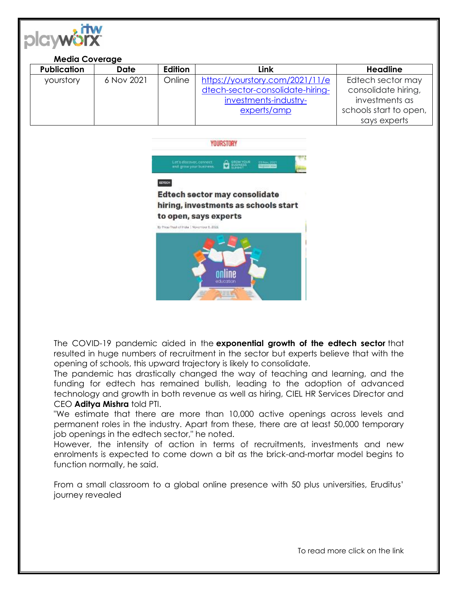

| <b>Media Coverage</b> |             |         |                                  |                        |
|-----------------------|-------------|---------|----------------------------------|------------------------|
| <b>Publication</b>    | <b>Date</b> | Edition | Link                             | <b>Headline</b>        |
| yourstory             | 6 Nov 2021  | Online  | https://yourstory.com/2021/11/e  | Edtech sector may      |
|                       |             |         | dtech-sector-consolidate-hiring- | consolidate hiring,    |
|                       |             |         | investments-industry-            | investments as         |
|                       |             |         | experts/amp                      | schools start to open, |
|                       |             |         |                                  | says experts           |



The COVID-19 pandemic aided in the **exponential growth of the edtech sector** that resulted in huge numbers of recruitment in the sector but experts believe that with the opening of schools, this upward trajectory is likely to consolidate.

The pandemic has drastically changed the way of teaching and learning, and the funding for edtech has remained bullish, leading to the adoption of advanced technology and growth in both revenue as well as hiring, CIEL HR Services Director and CEO **Aditya Mishra** told PTI.

"We estimate that there are more than 10,000 active openings across levels and permanent roles in the industry. Apart from these, there are at least 50,000 temporary job openings in the edtech sector," he noted.

However, the intensity of action in terms of recruitments, investments and new enrolments is expected to come down a bit as the brick-and-mortar model begins to function normally, he said[.](https://yourstory.com/2021/09/small-classroom-to-global-online-presence-edtech-unicorn-eruditus/amp)

[From a small classroom to a global online presence with 50 plus universities, Eruditus'](https://yourstory.com/2021/09/small-classroom-to-global-online-presence-edtech-unicorn-eruditus/amp)  [journey revealed](https://yourstory.com/2021/09/small-classroom-to-global-online-presence-edtech-unicorn-eruditus/amp)

To read more click on the link